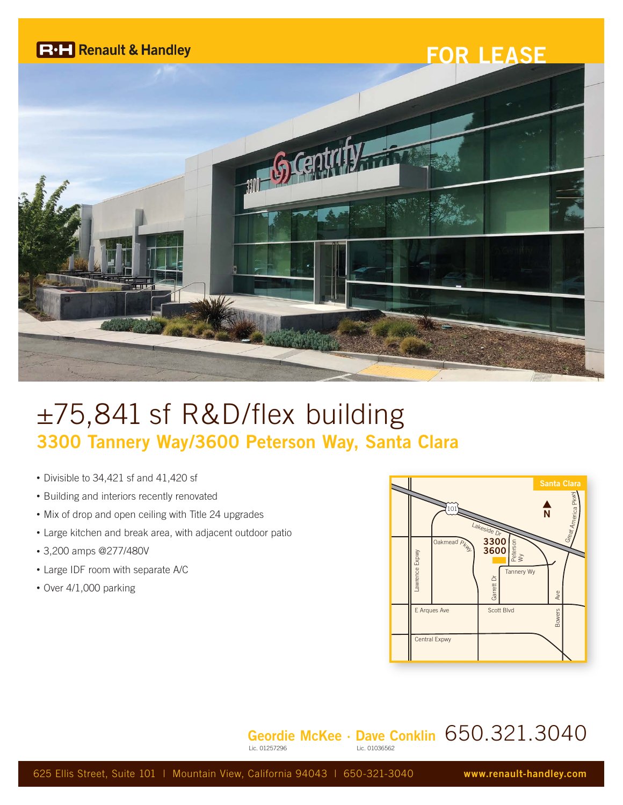

# ±75,841 sf R&D/flex building **3300 Tannery Way/3600 Peterson Way, Santa Clara**

- Divisible to 34,421 sf and 41,420 sf
- Building and interiors recently renovated
- Mix of drop and open ceiling with Title 24 upgrades
- Large kitchen and break area, with adjacent outdoor patio
- 3,200 amps @277/480V
- Large IDF room with separate A/C
- Over 4/1,000 parking



#### **Geordie McKee · Dave Conklin** 650.321.3040 Lic. 01036562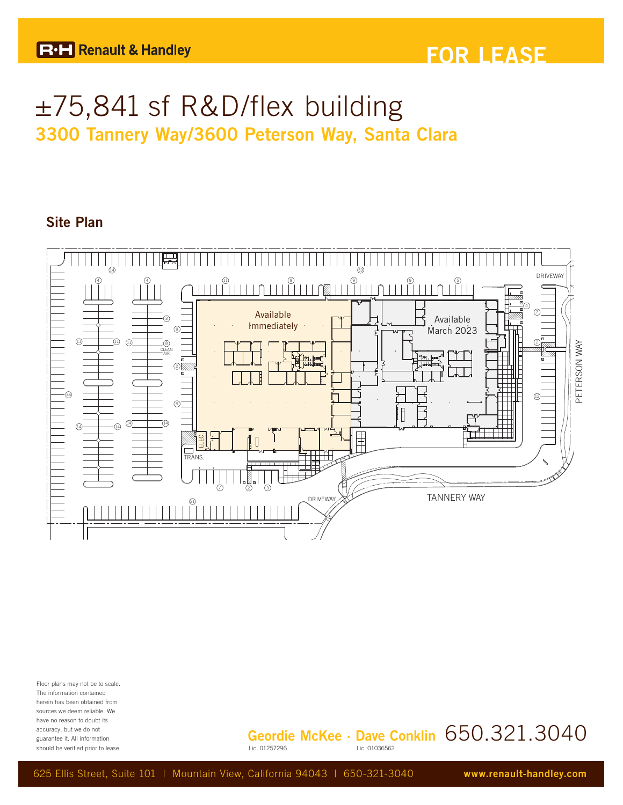## ±75,841 sf R&D/flex building **3300 Tannery Way/3600 Peterson Way, Santa Clara**

### **Site Plan**



Floor plans may not be to scale. The information contained herein has been obtained from sources we deem reliable. We have no reason to doubt its accuracy, but we do not guarantee it. All information should be verified prior to lease.

**Geordie McKee · Dave Conklin** 650.321.3040 Lic. 01036562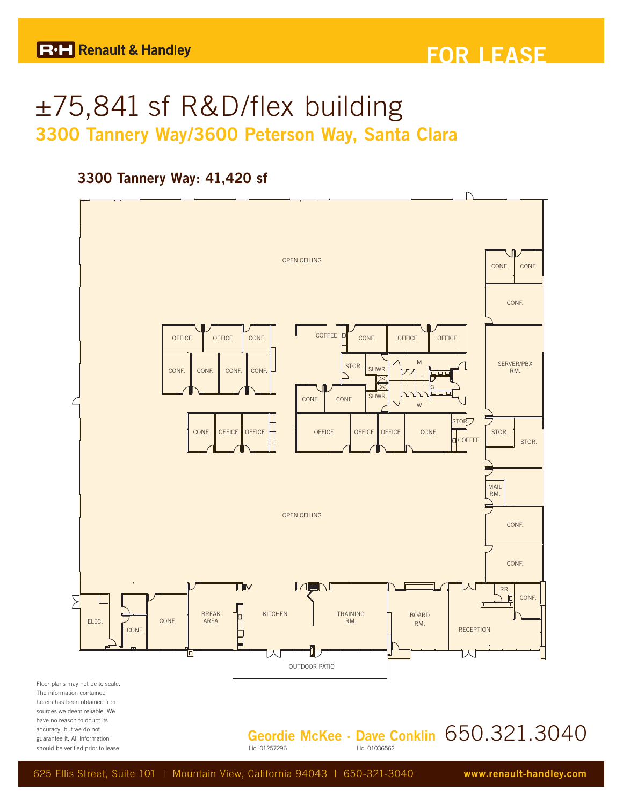## ±75,841 sf R&D/flex building **3300 Tannery Way/3600 Peterson Way, Santa Clara**

### **3300 Tannery Way: 41,420 sf**

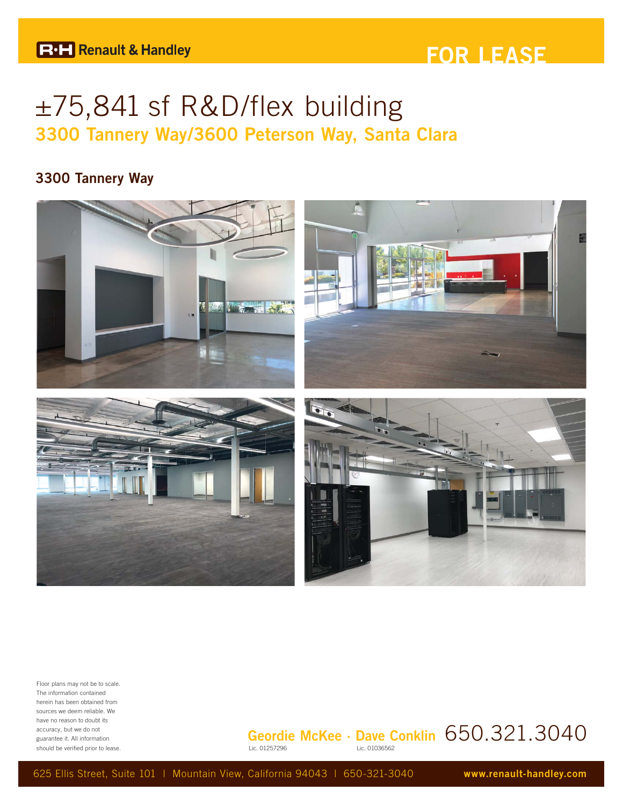### **FOR LEASE**

## ±75,841 sf R&D/flex building **3300 Tannery Way/3600 Peterson Way, Santa Clara**

### **3300 Tannery Way**



Floor plans may not be to scale. The information contained herein has been obtained from sources we deem reliable. We have no reason to doubt its accuracy, but we do not guarantee it. All information should be verified prior to lease.

#### **Geordie McKee · Dave Conklin** 650.321.3040 Lic. 01036562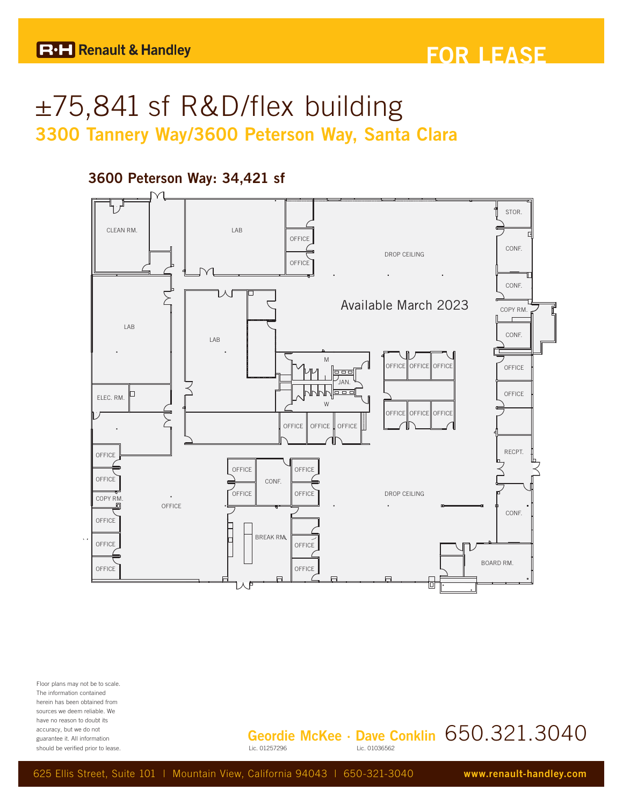### **FOR LEASE**

## ±75,841 sf R&D/flex building **3300 Tannery Way/3600 Peterson Way, Santa Clara**

### **3600 Peterson Way: 34,421 sf**



Floor plans may not be to scale. The information contained herein has been obtained from sources we deem reliable. We have no reason to doubt its accuracy, but we do not guarantee it. All information should be verified prior to lease.

**Geordie McKee · Dave Conklin** 650.321.3040 Lic. 01036562